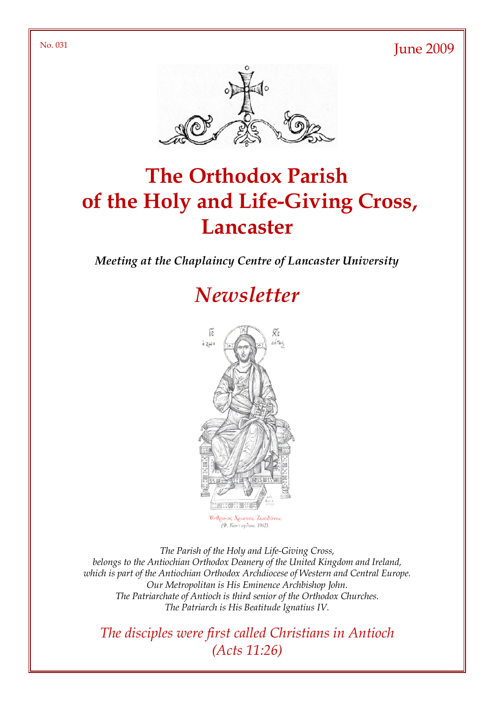$N<sub>0</sub>$ . 031 June 2009



# The Orthodox Parish of the Holy and Life-Giving Cross, **Lancaster**

Meeting at the Chaplaincy Centre of Lancaster University

## **Newsletter**



The Parish of the Holy and Life-Giving Cross, belongs to the Antiochian Orthodox Deanery of the United Kingdom and Ireland, which is part of the Antiochian Orthodox Archdiocese of Western and Central Europe. Our Metropolitan is His Eminence Archbishop John. The Patriarchate of Antioch is third senior of the Orthodox Churches. The Patriarch is His Beatitude Ignatius IV.

The disciples were first called Christians in Antioch (Acts 11:26)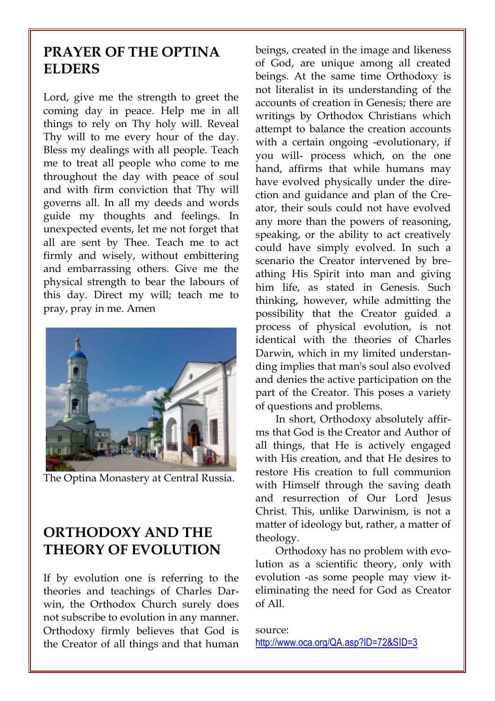## PRAYER OF THE OPTINA **ELDERS**

Lord, give me the strength to greet the coming day in peace. Help me in all things to rely on Thy holy will. Reveal Thy will to me every hour of the day. Bless my dealings with all people. Teach me to treat all people who come to me throughout the day with peace of soul and with firm conviction that Thy will governs all. In all my deeds and words guide my thoughts and feelings. In unexpected events, let me not forget that all are sent by Thee. Teach me to act firmly and wisely, without embittering and embarrassing others. Give me the physical strength to bear the labours of this day. Direct my will; teach me to pray, pray in me. Amen



The Optina Monastery at Central Russia.

## ORTHODOXY AND THE THEORY OF EVOLUTION

If by evolution one is referring to the theories and teachings of Charles Darwin, the Orthodox Church surely does not subscribe to evolution in any manner. Orthodoxy firmly believes that God is the Creator of all things and that human beings, created in the image and likeness of God, are unique among all created beings. At the same time Orthodoxy is not literalist in its understanding of the accounts of creation in Genesis; there are writings by Orthodox Christians which attempt to balance the creation accounts with a certain ongoing -evolutionary, if you will- process which, on the one hand, affirms that while humans may have evolved physically under the direction and guidance and plan of the Creator, their souls could not have evolved any more than the powers of reasoning, speaking, or the ability to act creatively could have simply evolved. In such a scenario the Creator intervened by breathing His Spirit into man and giving him life, as stated in Genesis. Such thinking, however, while admitting the possibility that the Creator guided a process of physical evolution, is not identical with the theories of Charles Darwin, which in my limited understanding implies that man's soul also evolved and denies the active participation on the part of the Creator. This poses a variety of questions and problems.

In short, Orthodoxy absolutely affirms that God is the Creator and Author of all things, that He is actively engaged with His creation, and that He desires to restore His creation to full communion with Himself through the saving death and resurrection of Our Lord Jesus Christ. This, unlike Darwinism, is not a matter of ideology but, rather, a matter of theology.

Orthodoxy has no problem with evolution as a scientific theory, only with evolution -as some people may view iteliminating the need for God as Creator of All.

source: http://www.oca.org/QA.asp?ID=72&SID=3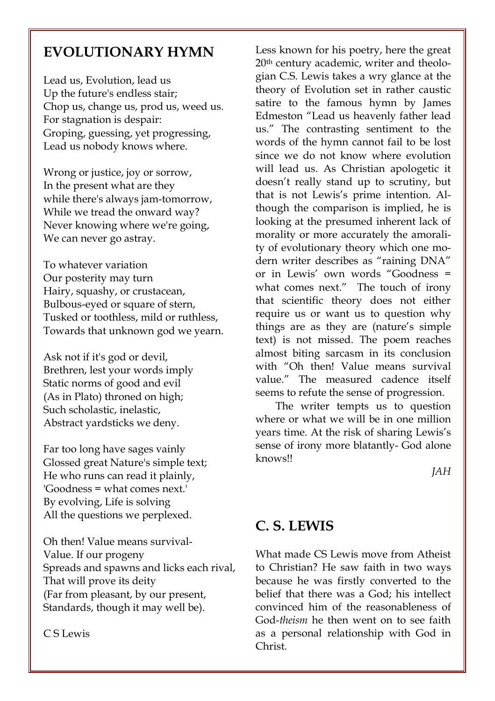## EVOLUTIONARY HYMN

Lead us, Evolution, lead us Up the future's endless stair; Chop us, change us, prod us, weed us. For stagnation is despair: Groping, guessing, yet progressing, Lead us nobody knows where.

Wrong or justice, joy or sorrow, In the present what are they while there's always jam-tomorrow, While we tread the onward way? Never knowing where we're going, We can never go astray.

To whatever variation Our posterity may turn Hairy, squashy, or crustacean, Bulbous-eyed or square of stern, Tusked or toothless, mild or ruthless, Towards that unknown god we yearn.

Ask not if it's god or devil, Brethren, lest your words imply Static norms of good and evil (As in Plato) throned on high; Such scholastic, inelastic, Abstract yardsticks we deny.

Far too long have sages vainly Glossed great Nature's simple text; He who runs can read it plainly, 'Goodness = what comes next.' By evolving, Life is solving All the questions we perplexed.

Oh then! Value means survival-Value. If our progeny Spreads and spawns and licks each rival, That will prove its deity (Far from pleasant, by our present, Standards, though it may well be).

C S Lewis

Less known for his poetry, here the great 20th century academic, writer and theologian C.S. Lewis takes a wry glance at the theory of Evolution set in rather caustic satire to the famous hymn by James Edmeston "Lead us heavenly father lead us." The contrasting sentiment to the words of the hymn cannot fail to be lost since we do not know where evolution will lead us. As Christian apologetic it doesn't really stand up to scrutiny, but that is not Lewis's prime intention. Although the comparison is implied, he is looking at the presumed inherent lack of morality or more accurately the amorality of evolutionary theory which one modern writer describes as "raining DNA" or in Lewis' own words "Goodness = what comes next." The touch of irony that scientific theory does not either require us or want us to question why things are as they are (nature's simple text) is not missed. The poem reaches almost biting sarcasm in its conclusion with "Oh then! Value means survival value." The measured cadence itself seems to refute the sense of progression.

The writer tempts us to question where or what we will be in one million years time. At the risk of sharing Lewis's sense of irony more blatantly- God alone knows!!

JAH

#### C. S. LEWIS

What made CS Lewis move from Atheist to Christian? He saw faith in two ways because he was firstly converted to the belief that there was a God; his intellect convinced him of the reasonableness of God-theism he then went on to see faith as a personal relationship with God in Christ.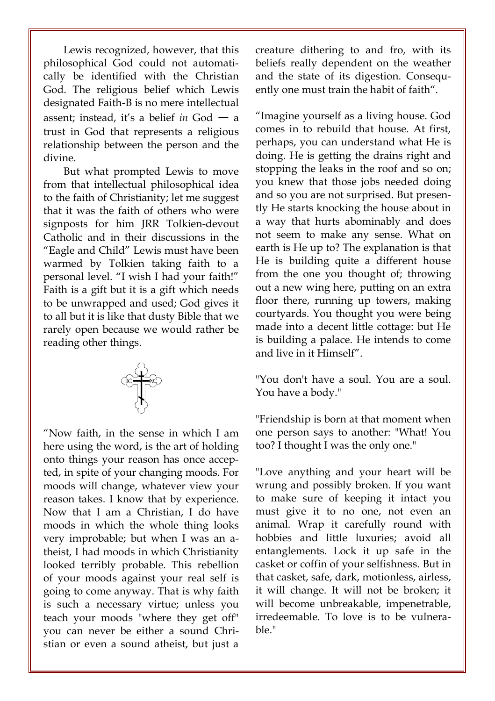Lewis recognized, however, that this philosophical God could not automatically be identified with the Christian God. The religious belief which Lewis designated Faith-B is no mere intellectual assent; instead, it's a belief in  $God - a$ trust in God that represents a religious relationship between the person and the divine.

But what prompted Lewis to move from that intellectual philosophical idea to the faith of Christianity; let me suggest that it was the faith of others who were signposts for him JRR Tolkien-devout Catholic and in their discussions in the "Eagle and Child" Lewis must have been warmed by Tolkien taking faith to a personal level. "I wish I had your faith!" Faith is a gift but it is a gift which needs to be unwrapped and used; God gives it to all but it is like that dusty Bible that we rarely open because we would rather be reading other things.



"Now faith, in the sense in which I am here using the word, is the art of holding onto things your reason has once accepted, in spite of your changing moods. For moods will change, whatever view your reason takes. I know that by experience. Now that I am a Christian, I do have moods in which the whole thing looks very improbable; but when I was an atheist, I had moods in which Christianity looked terribly probable. This rebellion of your moods against your real self is going to come anyway. That is why faith is such a necessary virtue; unless you teach your moods "where they get off" you can never be either a sound Christian or even a sound atheist, but just a creature dithering to and fro, with its beliefs really dependent on the weather and the state of its digestion. Consequently one must train the habit of faith".

"Imagine yourself as a living house. God comes in to rebuild that house. At first, perhaps, you can understand what He is doing. He is getting the drains right and stopping the leaks in the roof and so on; you knew that those jobs needed doing and so you are not surprised. But presently He starts knocking the house about in a way that hurts abominably and does not seem to make any sense. What on earth is He up to? The explanation is that He is building quite a different house from the one you thought of; throwing out a new wing here, putting on an extra floor there, running up towers, making courtyards. You thought you were being made into a decent little cottage: but He is building a palace. He intends to come and live in it Himself".

"You don't have a soul. You are a soul. You have a body."

"Friendship is born at that moment when one person says to another: "What! You too? I thought I was the only one."

"Love anything and your heart will be wrung and possibly broken. If you want to make sure of keeping it intact you must give it to no one, not even an animal. Wrap it carefully round with hobbies and little luxuries; avoid all entanglements. Lock it up safe in the casket or coffin of your selfishness. But in that casket, safe, dark, motionless, airless, it will change. It will not be broken; it will become unbreakable, impenetrable, irredeemable. To love is to be vulnerable."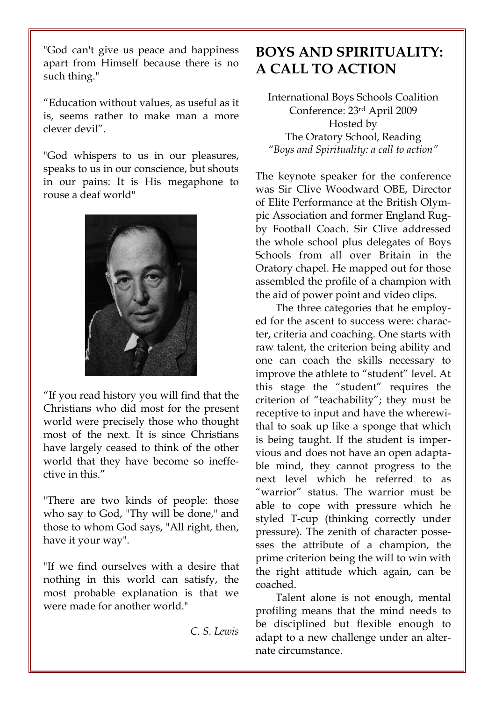"God can't give us peace and happiness apart from Himself because there is no such thing."

"Education without values, as useful as it is, seems rather to make man a more clever devil".

"God whispers to us in our pleasures, speaks to us in our conscience, but shouts in our pains: It is His megaphone to rouse a deaf world"



"If you read history you will find that the Christians who did most for the present world were precisely those who thought most of the next. It is since Christians have largely ceased to think of the other world that they have become so ineffective in this."

"There are two kinds of people: those who say to God, "Thy will be done," and those to whom God says, "All right, then, have it your way".

"If we find ourselves with a desire that nothing in this world can satisfy, the most probable explanation is that we were made for another world."

C. S. Lewis

## BOYS AND SPIRITUALITY: A CALL TO ACTION

International Boys Schools Coalition Conference: 23rd April 2009 Hosted by The Oratory School, Reading "Boys and Spirituality: a call to action"

The keynote speaker for the conference was Sir Clive Woodward OBE, Director of Elite Performance at the British Olympic Association and former England Rugby Football Coach. Sir Clive addressed the whole school plus delegates of Boys Schools from all over Britain in the Oratory chapel. He mapped out for those assembled the profile of a champion with the aid of power point and video clips.

The three categories that he employed for the ascent to success were: character, criteria and coaching. One starts with raw talent, the criterion being ability and one can coach the skills necessary to improve the athlete to "student" level. At this stage the "student" requires the criterion of "teachability"; they must be receptive to input and have the wherewithal to soak up like a sponge that which is being taught. If the student is impervious and does not have an open adaptable mind, they cannot progress to the next level which he referred to as "warrior" status. The warrior must be able to cope with pressure which he styled T-cup (thinking correctly under pressure). The zenith of character possesses the attribute of a champion, the prime criterion being the will to win with the right attitude which again, can be coached.

Talent alone is not enough, mental profiling means that the mind needs to be disciplined but flexible enough to adapt to a new challenge under an alternate circumstance.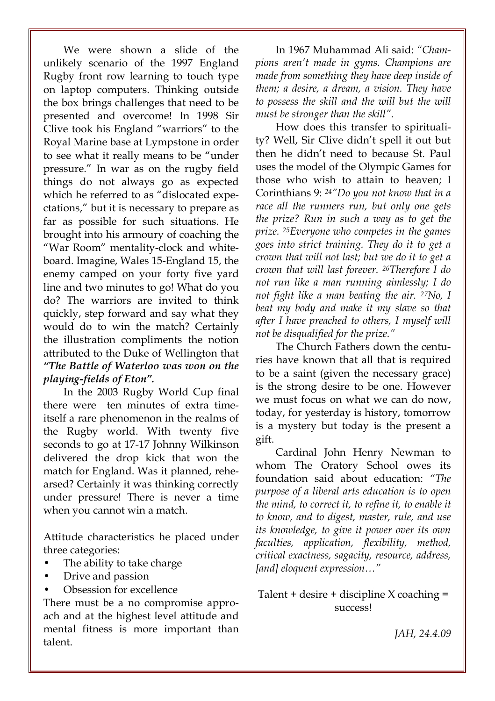We were shown a slide of the unlikely scenario of the 1997 England Rugby front row learning to touch type on laptop computers. Thinking outside the box brings challenges that need to be presented and overcome! In 1998 Sir Clive took his England "warriors" to the Royal Marine base at Lympstone in order to see what it really means to be "under pressure." In war as on the rugby field things do not always go as expected which he referred to as "dislocated expectations," but it is necessary to prepare as far as possible for such situations. He brought into his armoury of coaching the "War Room" mentality-clock and whiteboard. Imagine, Wales 15-England 15, the enemy camped on your forty five yard line and two minutes to go! What do you do? The warriors are invited to think quickly, step forward and say what they would do to win the match? Certainly the illustration compliments the notion attributed to the Duke of Wellington that "The Battle of Waterloo was won on the playing-fields of Eton".

In the 2003 Rugby World Cup final there were ten minutes of extra timeitself a rare phenomenon in the realms of the Rugby world. With twenty five seconds to go at 17-17 Johnny Wilkinson delivered the drop kick that won the match for England. Was it planned, rehearsed? Certainly it was thinking correctly under pressure! There is never a time when you cannot win a match.

Attitude characteristics he placed under three categories:

- The ability to take charge
- Drive and passion
- Obsession for excellence

There must be a no compromise approach and at the highest level attitude and mental fitness is more important than talent.

In 1967 Muhammad Ali said: "Champions aren't made in gyms. Champions are made from something they have deep inside of them; a desire, a dream, a vision. They have to possess the skill and the will but the will must be stronger than the skill".

How does this transfer to spirituality? Well, Sir Clive didn't spell it out but then he didn't need to because St. Paul uses the model of the Olympic Games for those who wish to attain to heaven; I Corinthians 9: 24"Do you not know that in a race all the runners run, but only one gets the prize? Run in such a way as to get the prize. 25Everyone who competes in the games goes into strict training. They do it to get a crown that will not last; but we do it to get a crown that will last forever. 26Therefore I do not run like a man running aimlessly; I do not fight like a man beating the air. 27No, I beat my body and make it my slave so that after I have preached to others, I myself will not be disqualified for the prize."

The Church Fathers down the centuries have known that all that is required to be a saint (given the necessary grace) is the strong desire to be one. However we must focus on what we can do now, today, for yesterday is history, tomorrow is a mystery but today is the present a gift.

Cardinal John Henry Newman to whom The Oratory School owes its foundation said about education: "The purpose of a liberal arts education is to open the mind, to correct it, to refine it, to enable it to know, and to digest, master, rule, and use its knowledge, to give it power over its own faculties, application, flexibility, method, critical exactness, sagacity, resource, address, [and] eloquent expression..."

Talent + desire + discipline  $X$  coaching = success!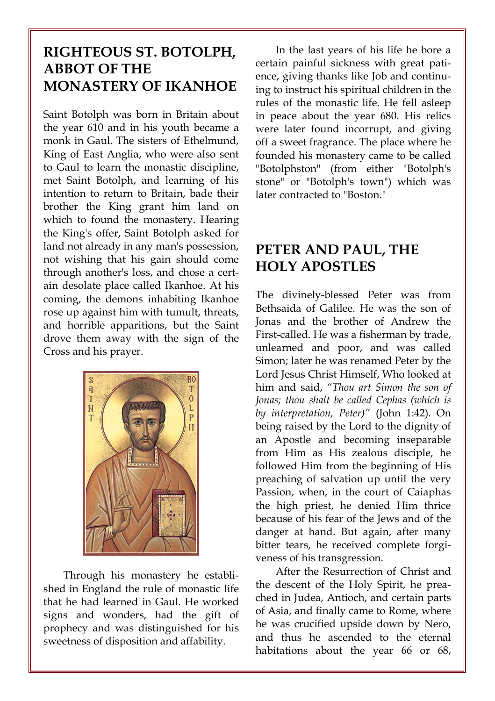## RIGHTEOUS ST. BOTOLPH, ABBOT OF THE MONASTERY OF IKANHOE

Saint Botolph was born in Britain about the year 610 and in his youth became a monk in Gaul. The sisters of Ethelmund, King of East Anglia, who were also sent to Gaul to learn the monastic discipline, met Saint Botolph, and learning of his intention to return to Britain, bade their brother the King grant him land on which to found the monastery. Hearing the King's offer, Saint Botolph asked for land not already in any man's possession, not wishing that his gain should come through another's loss, and chose a certain desolate place called Ikanhoe. At his coming, the demons inhabiting Ikanhoe rose up against him with tumult, threats, and horrible apparitions, but the Saint drove them away with the sign of the Cross and his prayer.



Through his monastery he established in England the rule of monastic life that he had learned in Gaul. He worked signs and wonders, had the gift of prophecy and was distinguished for his sweetness of disposition and affability.

In the last years of his life he bore a certain painful sickness with great patience, giving thanks like Job and continuing to instruct his spiritual children in the rules of the monastic life. He fell asleep in peace about the year 680. His relics were later found incorrupt, and giving off a sweet fragrance. The place where he founded his monastery came to be called "Botolphston" (from either "Botolph's stone" or "Botolph's town") which was later contracted to "Boston."

### PETER AND PAUL, THE HOLY APOSTLES

The divinely-blessed Peter was from Bethsaida of Galilee. He was the son of Jonas and the brother of Andrew the First-called. He was a fisherman by trade, unlearned and poor, and was called Simon; later he was renamed Peter by the Lord Jesus Christ Himself, Who looked at him and said, "Thou art Simon the son of Jonas; thou shalt be called Cephas (which is by interpretation, Peter)" (John 1:42). On being raised by the Lord to the dignity of an Apostle and becoming inseparable from Him as His zealous disciple, he followed Him from the beginning of His preaching of salvation up until the very Passion, when, in the court of Caiaphas the high priest, he denied Him thrice because of his fear of the Jews and of the danger at hand. But again, after many bitter tears, he received complete forgiveness of his transgression.

After the Resurrection of Christ and the descent of the Holy Spirit, he preached in Judea, Antioch, and certain parts of Asia, and finally came to Rome, where he was crucified upside down by Nero, and thus he ascended to the eternal habitations about the year 66 or 68,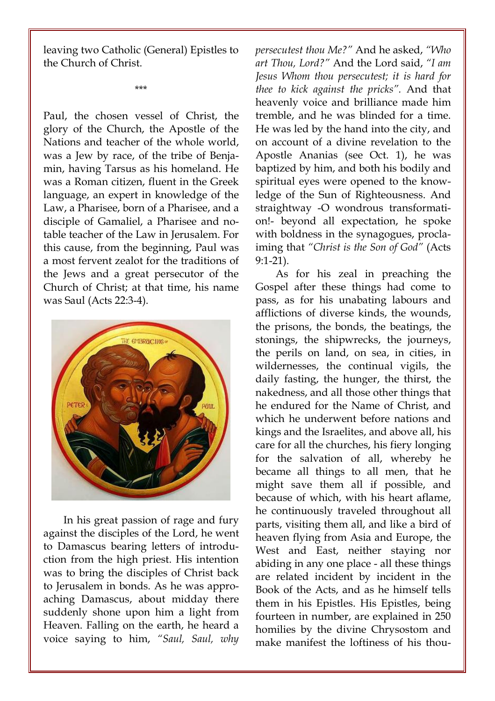leaving two Catholic (General) Epistles to the Church of Christ.

\*\*\*

Paul, the chosen vessel of Christ, the glory of the Church, the Apostle of the Nations and teacher of the whole world, was a Jew by race, of the tribe of Benjamin, having Tarsus as his homeland. He was a Roman citizen, fluent in the Greek language, an expert in knowledge of the Law, a Pharisee, born of a Pharisee, and a disciple of Gamaliel, a Pharisee and notable teacher of the Law in Jerusalem. For this cause, from the beginning, Paul was a most fervent zealot for the traditions of the Jews and a great persecutor of the Church of Christ; at that time, his name was Saul (Acts 22:3-4).



In his great passion of rage and fury against the disciples of the Lord, he went to Damascus bearing letters of introduction from the high priest. His intention was to bring the disciples of Christ back to Jerusalem in bonds. As he was approaching Damascus, about midday there suddenly shone upon him a light from Heaven. Falling on the earth, he heard a voice saying to him, "Saul, Saul, why persecutest thou Me?" And he asked, "Who art Thou, Lord?" And the Lord said, "I am Jesus Whom thou persecutest; it is hard for thee to kick against the pricks". And that heavenly voice and brilliance made him tremble, and he was blinded for a time. He was led by the hand into the city, and on account of a divine revelation to the Apostle Ananias (see Oct. 1), he was baptized by him, and both his bodily and spiritual eyes were opened to the knowledge of the Sun of Righteousness. And straightway -O wondrous transformation!- beyond all expectation, he spoke with boldness in the synagogues, proclaiming that "Christ is the Son of God" (Acts 9:1-21).

As for his zeal in preaching the Gospel after these things had come to pass, as for his unabating labours and afflictions of diverse kinds, the wounds, the prisons, the bonds, the beatings, the stonings, the shipwrecks, the journeys, the perils on land, on sea, in cities, in wildernesses, the continual vigils, the daily fasting, the hunger, the thirst, the nakedness, and all those other things that he endured for the Name of Christ, and which he underwent before nations and kings and the Israelites, and above all, his care for all the churches, his fiery longing for the salvation of all, whereby he became all things to all men, that he might save them all if possible, and because of which, with his heart aflame, he continuously traveled throughout all parts, visiting them all, and like a bird of heaven flying from Asia and Europe, the West and East, neither staying nor abiding in any one place - all these things are related incident by incident in the Book of the Acts, and as he himself tells them in his Epistles. His Epistles, being fourteen in number, are explained in 250 homilies by the divine Chrysostom and make manifest the loftiness of his thou